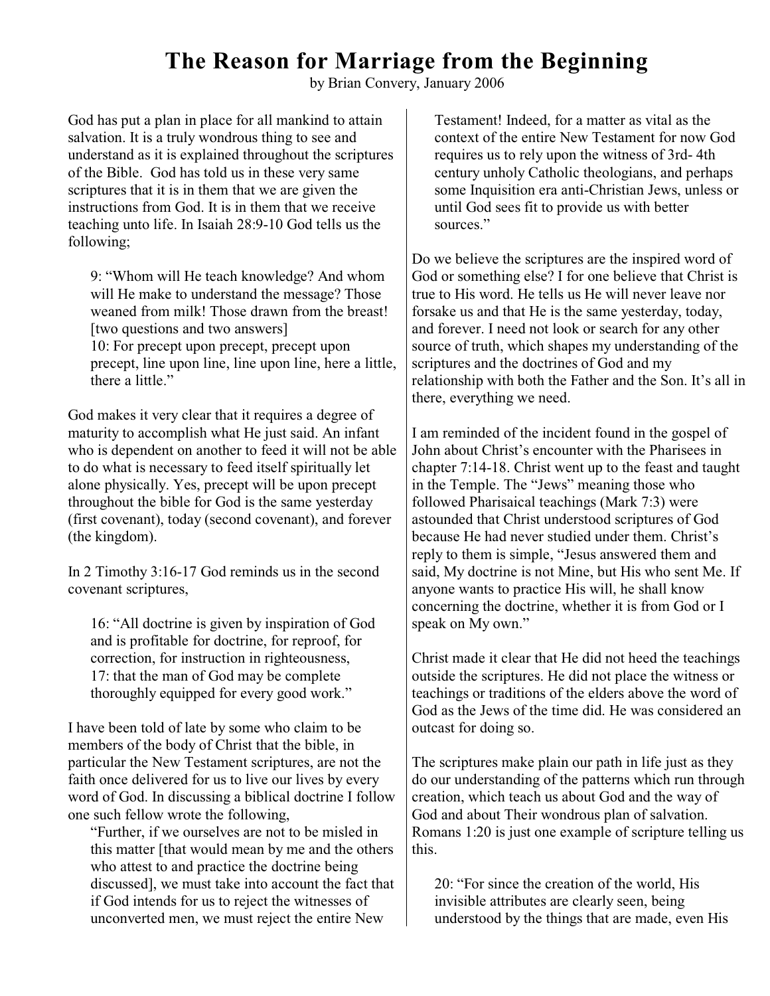## **The Reason for Marriage from the Beginning**

by Brian Convery, January 2006

God has put a plan in place for all mankind to attain salvation. It is a truly wondrous thing to see and understand as it is explained throughout the scriptures of the Bible. God has told us in these very same scriptures that it is in them that we are given the instructions from God. It is in them that we receive teaching unto life. In Isaiah 28:9-10 God tells us the following;

9: "Whom will He teach knowledge? And whom will He make to understand the message? Those weaned from milk! Those drawn from the breast! [two questions and two answers] 10: For precept upon precept, precept upon precept, line upon line, line upon line, here a little, there a little."

God makes it very clear that it requires a degree of maturity to accomplish what He just said. An infant who is dependent on another to feed it will not be able to do what is necessary to feed itself spiritually let alone physically. Yes, precept will be upon precept throughout the bible for God is the same yesterday (first covenant), today (second covenant), and forever (the kingdom).

In 2 Timothy 3:16-17 God reminds us in the second covenant scriptures,

16: "All doctrine is given by inspiration of God and is profitable for doctrine, for reproof, for correction, for instruction in righteousness, 17: that the man of God may be complete thoroughly equipped for every good work."

I have been told of late by some who claim to be members of the body of Christ that the bible, in particular the New Testament scriptures, are not the faith once delivered for us to live our lives by every word of God. In discussing a biblical doctrine I follow one such fellow wrote the following,

"Further, if we ourselves are not to be misled in this matter [that would mean by me and the others who attest to and practice the doctrine being discussed], we must take into account the fact that if God intends for us to reject the witnesses of unconverted men, we must reject the entire New

Testament! Indeed, for a matter as vital as the context of the entire New Testament for now God requires us to rely upon the witness of 3rd- 4th century unholy Catholic theologians, and perhaps some Inquisition era anti-Christian Jews, unless or until God sees fit to provide us with better sources."

Do we believe the scriptures are the inspired word of God or something else? I for one believe that Christ is true to His word. He tells us He will never leave nor forsake us and that He is the same yesterday, today, and forever. I need not look or search for any other source of truth, which shapes my understanding of the scriptures and the doctrines of God and my relationship with both the Father and the Son. It's all in there, everything we need.

I am reminded of the incident found in the gospel of John about Christ's encounter with the Pharisees in chapter 7:14-18. Christ went up to the feast and taught in the Temple. The "Jews" meaning those who followed Pharisaical teachings (Mark 7:3) were astounded that Christ understood scriptures of God because He had never studied under them. Christ's reply to them is simple, "Jesus answered them and said, My doctrine is not Mine, but His who sent Me. If anyone wants to practice His will, he shall know concerning the doctrine, whether it is from God or I speak on My own."

Christ made it clear that He did not heed the teachings outside the scriptures. He did not place the witness or teachings or traditions of the elders above the word of God as the Jews of the time did. He was considered an outcast for doing so.

The scriptures make plain our path in life just as they do our understanding of the patterns which run through creation, which teach us about God and the way of God and about Their wondrous plan of salvation. Romans 1:20 is just one example of scripture telling us this.

20: "For since the creation of the world, His invisible attributes are clearly seen, being understood by the things that are made, even His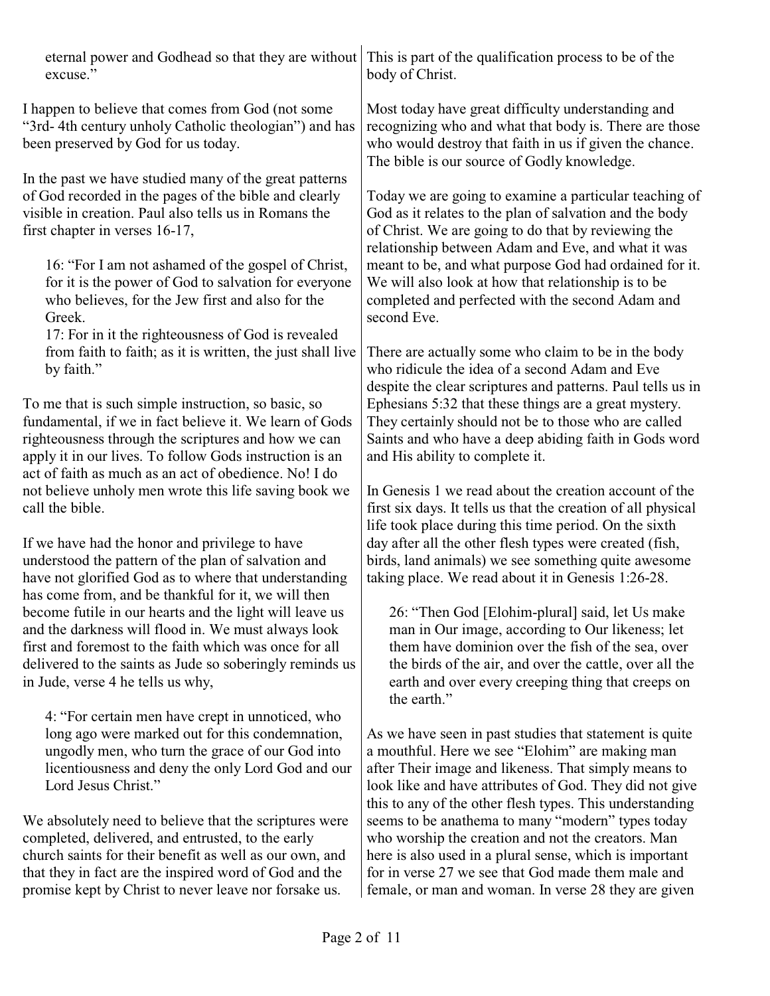| excuse."                                                                                                                                                                                                                                                                                                                                                                               | eternal power and Godhead so that they are without This is part of the qualification process to be of the<br>body of Christ.                                                                                                                                                                                                                                                                                       |
|----------------------------------------------------------------------------------------------------------------------------------------------------------------------------------------------------------------------------------------------------------------------------------------------------------------------------------------------------------------------------------------|--------------------------------------------------------------------------------------------------------------------------------------------------------------------------------------------------------------------------------------------------------------------------------------------------------------------------------------------------------------------------------------------------------------------|
| I happen to believe that comes from God (not some<br>"3rd-4th century unholy Catholic theologian") and has<br>been preserved by God for us today.                                                                                                                                                                                                                                      | Most today have great difficulty understanding and<br>recognizing who and what that body is. There are those<br>who would destroy that faith in us if given the chance.<br>The bible is our source of Godly knowledge.                                                                                                                                                                                             |
| In the past we have studied many of the great patterns<br>of God recorded in the pages of the bible and clearly<br>visible in creation. Paul also tells us in Romans the<br>first chapter in verses 16-17,<br>16: "For I am not ashamed of the gospel of Christ,<br>for it is the power of God to salvation for everyone<br>who believes, for the Jew first and also for the<br>Greek. | Today we are going to examine a particular teaching of<br>God as it relates to the plan of salvation and the body<br>of Christ. We are going to do that by reviewing the<br>relationship between Adam and Eve, and what it was<br>meant to be, and what purpose God had ordained for it.<br>We will also look at how that relationship is to be<br>completed and perfected with the second Adam and<br>second Eve. |
| 17: For in it the righteousness of God is revealed<br>from faith to faith; as it is written, the just shall live<br>by faith."                                                                                                                                                                                                                                                         | There are actually some who claim to be in the body<br>who ridicule the idea of a second Adam and Eve<br>despite the clear scriptures and patterns. Paul tells us in                                                                                                                                                                                                                                               |
| To me that is such simple instruction, so basic, so<br>fundamental, if we in fact believe it. We learn of Gods<br>righteousness through the scriptures and how we can<br>apply it in our lives. To follow Gods instruction is an<br>act of faith as much as an act of obedience. No! I do                                                                                              | Ephesians 5:32 that these things are a great mystery.<br>They certainly should not be to those who are called<br>Saints and who have a deep abiding faith in Gods word<br>and His ability to complete it.                                                                                                                                                                                                          |
| not believe unholy men wrote this life saving book we<br>call the bible.                                                                                                                                                                                                                                                                                                               | In Genesis 1 we read about the creation account of the<br>first six days. It tells us that the creation of all physical<br>life took place during this time period. On the sixth                                                                                                                                                                                                                                   |
| If we have had the honor and privilege to have<br>understood the pattern of the plan of salvation and<br>have not glorified God as to where that understanding<br>has come from, and be thankful for it, we will then                                                                                                                                                                  | day after all the other flesh types were created (fish,<br>birds, land animals) we see something quite awesome<br>taking place. We read about it in Genesis 1:26-28.                                                                                                                                                                                                                                               |
| become futile in our hearts and the light will leave us<br>and the darkness will flood in. We must always look<br>first and foremost to the faith which was once for all<br>delivered to the saints as Jude so soberingly reminds us<br>in Jude, verse 4 he tells us why,                                                                                                              | 26: "Then God [Elohim-plural] said, let Us make<br>man in Our image, according to Our likeness; let<br>them have dominion over the fish of the sea, over<br>the birds of the air, and over the cattle, over all the<br>earth and over every creeping thing that creeps on<br>the earth."                                                                                                                           |
| 4: "For certain men have crept in unnoticed, who<br>long ago were marked out for this condemnation,<br>ungodly men, who turn the grace of our God into<br>licentiousness and deny the only Lord God and our<br>Lord Jesus Christ."                                                                                                                                                     | As we have seen in past studies that statement is quite<br>a mouthful. Here we see "Elohim" are making man<br>after Their image and likeness. That simply means to<br>look like and have attributes of God. They did not give<br>this to any of the other flesh types. This understanding                                                                                                                          |
| We absolutely need to believe that the scriptures were<br>completed, delivered, and entrusted, to the early<br>church saints for their benefit as well as our own, and<br>that they in fact are the inspired word of God and the<br>promise kept by Christ to never leave nor forsake us.                                                                                              | seems to be anathema to many "modern" types today<br>who worship the creation and not the creators. Man<br>here is also used in a plural sense, which is important<br>for in verse 27 we see that God made them male and<br>female, or man and woman. In verse 28 they are given                                                                                                                                   |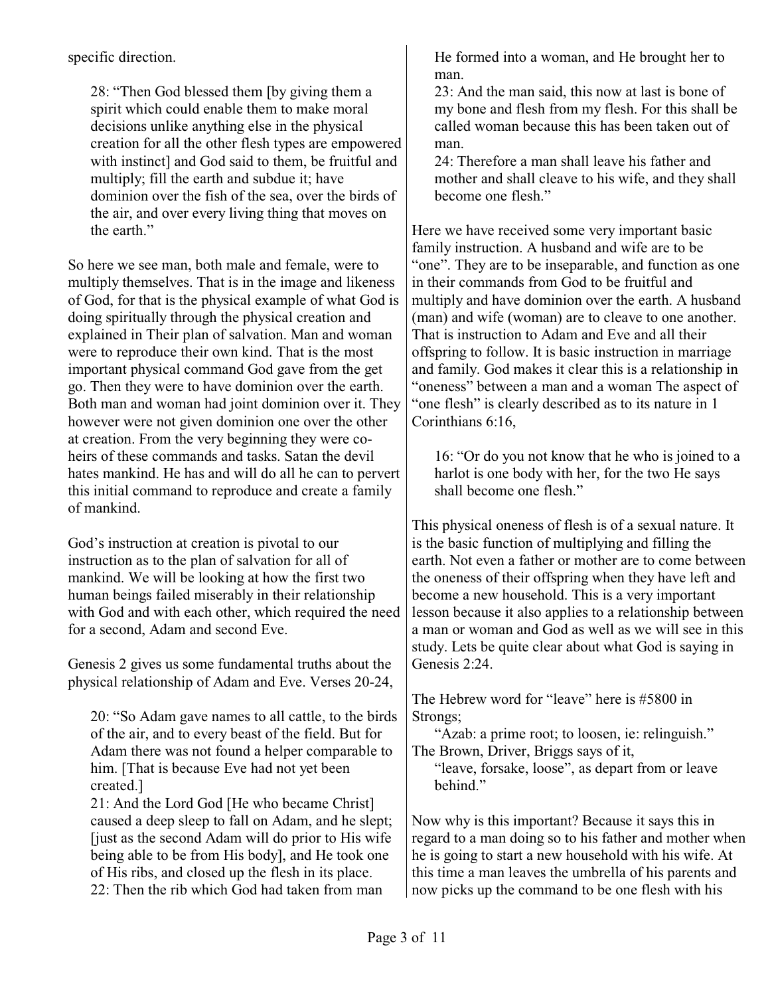specific direction.

28: "Then God blessed them [by giving them a spirit which could enable them to make moral decisions unlike anything else in the physical creation for all the other flesh types are empowered with instinct] and God said to them, be fruitful and multiply; fill the earth and subdue it; have dominion over the fish of the sea, over the birds of the air, and over every living thing that moves on the earth."

So here we see man, both male and female, were to multiply themselves. That is in the image and likeness of God, for that is the physical example of what God is doing spiritually through the physical creation and explained in Their plan of salvation. Man and woman were to reproduce their own kind. That is the most important physical command God gave from the get go. Then they were to have dominion over the earth. Both man and woman had joint dominion over it. They however were not given dominion one over the other at creation. From the very beginning they were coheirs of these commands and tasks. Satan the devil hates mankind. He has and will do all he can to pervert this initial command to reproduce and create a family of mankind.

God's instruction at creation is pivotal to our instruction as to the plan of salvation for all of mankind. We will be looking at how the first two human beings failed miserably in their relationship with God and with each other, which required the need for a second, Adam and second Eve.

Genesis 2 gives us some fundamental truths about the physical relationship of Adam and Eve. Verses 20-24,

20: "So Adam gave names to all cattle, to the birds of the air, and to every beast of the field. But for Adam there was not found a helper comparable to him. [That is because Eve had not yet been created.]

21: And the Lord God [He who became Christ] caused a deep sleep to fall on Adam, and he slept; [just as the second Adam will do prior to His wife being able to be from His body], and He took one of His ribs, and closed up the flesh in its place. 22: Then the rib which God had taken from man

He formed into a woman, and He brought her to man.

23: And the man said, this now at last is bone of my bone and flesh from my flesh. For this shall be called woman because this has been taken out of man.

24: Therefore a man shall leave his father and mother and shall cleave to his wife, and they shall become one flesh."

Here we have received some very important basic family instruction. A husband and wife are to be "one". They are to be inseparable, and function as one in their commands from God to be fruitful and multiply and have dominion over the earth. A husband (man) and wife (woman) are to cleave to one another. That is instruction to Adam and Eve and all their offspring to follow. It is basic instruction in marriage and family. God makes it clear this is a relationship in "oneness" between a man and a woman The aspect of "one flesh" is clearly described as to its nature in 1 Corinthians 6:16,

16: "Or do you not know that he who is joined to a harlot is one body with her, for the two He says shall become one flesh."

This physical oneness of flesh is of a sexual nature. It is the basic function of multiplying and filling the earth. Not even a father or mother are to come between the oneness of their offspring when they have left and become a new household. This is a very important lesson because it also applies to a relationship between a man or woman and God as well as we will see in this study. Lets be quite clear about what God is saying in Genesis 2:24.

The Hebrew word for "leave" here is #5800 in Strongs;

"Azab: a prime root; to loosen, ie: relinguish." The Brown, Driver, Briggs says of it,

"leave, forsake, loose", as depart from or leave behind."

Now why is this important? Because it says this in regard to a man doing so to his father and mother when he is going to start a new household with his wife. At this time a man leaves the umbrella of his parents and now picks up the command to be one flesh with his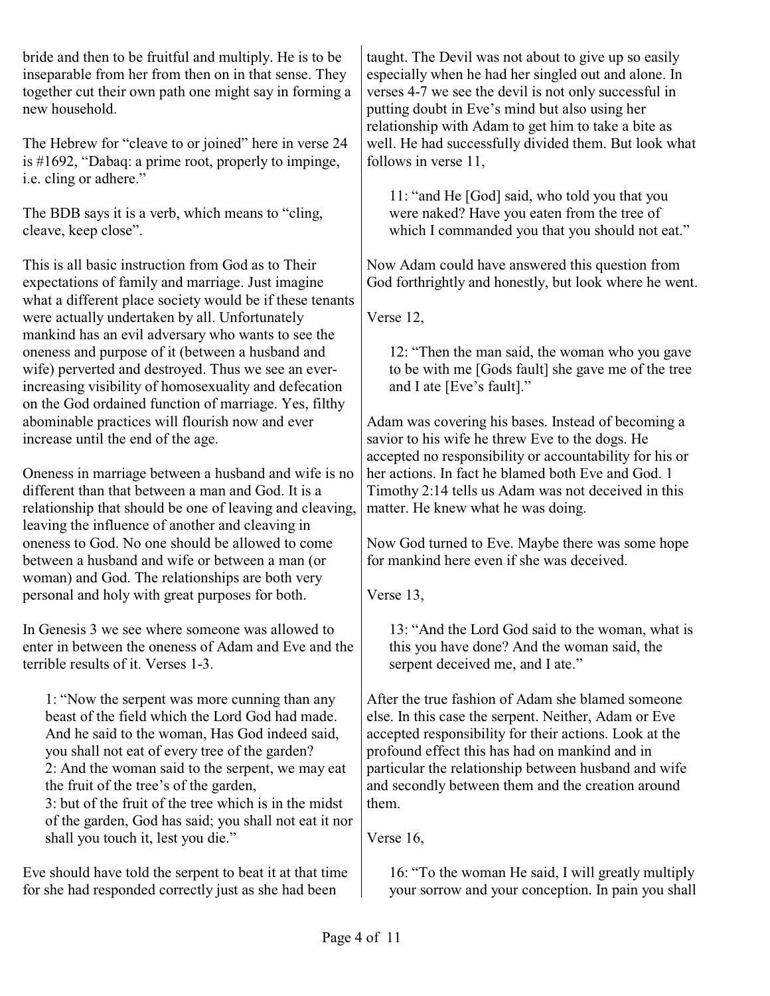bride and then to be fruitful and multiply. He is to be inseparable from her from then on in that sense. They together cut their own path one might say in forming a new household.

The Hebrew for "cleave to or joined" here in verse 24 is #1692, "Dabaq: a prime root, properly to impinge, i.e. cling or adhere."

The BDB says it is a verb, which means to "cling, cleave, keep close".

This is all basic instruction from God as to Their expectations of family and marriage. Just imagine what a different place society would be if these tenants were actually undertaken by all. Unfortunately mankind has an evil adversary who wants to see the oneness and purpose of it (between a husband and wife) perverted and destroyed. Thus we see an everincreasing visibility of homosexuality and defecation on the God ordained function of marriage. Yes, filthy abominable practices will flourish now and ever increase until the end of the age.

Oneness in marriage between a husband and wife is no different than that between a man and God. It is a relationship that should be one of leaving and cleaving, leaving the influence of another and cleaving in oneness to God. No one should be allowed to come between a husband and wife or between a man (or woman) and God. The relationships are both very personal and holy with great purposes for both.

In Genesis 3 we see where someone was allowed to enter in between the oneness of Adam and Eve and the terrible results of it. Verses 1-3.

1: "Now the serpent was more cunning than any beast of the field which the Lord God had made. And he said to the woman, Has God indeed said, you shall not eat of every tree of the garden? 2: And the woman said to the serpent, we may eat the fruit of the tree's of the garden, 3: but of the fruit of the tree which is in the midst of the garden, God has said; you shall not eat it nor shall you touch it, lest you die."

Eve should have told the serpent to beat it at that time for she had responded correctly just as she had been

taught. The Devil was not about to give up so easily especially when he had her singled out and alone. In verses 4-7 we see the devil is not only successful in putting doubt in Eve's mind but also using her relationship with Adam to get him to take a bite as well. He had successfully divided them. But look what follows in verse 11,

11: "and He [God] said, who told you that you were naked? Have you eaten from the tree of which I commanded you that you should not eat."

Now Adam could have answered this question from God forthrightly and honestly, but look where he went.

Verse 12,

12: "Then the man said, the woman who you gave to be with me [Gods fault] she gave me of the tree and I ate [Eve's fault]."

Adam was covering his bases. Instead of becoming a savior to his wife he threw Eve to the dogs. He accepted no responsibility or accountability for his or her actions. In fact he blamed both Eve and God. 1 Timothy 2:14 tells us Adam was not deceived in this matter. He knew what he was doing.

Now God turned to Eve. Maybe there was some hope for mankind here even if she was deceived.

Verse 13,

13: "And the Lord God said to the woman, what is this you have done? And the woman said, the serpent deceived me, and I ate."

After the true fashion of Adam she blamed someone else. In this case the serpent. Neither, Adam or Eve accepted responsibility for their actions. Look at the profound effect this has had on mankind and in particular the relationship between husband and wife and secondly between them and the creation around them.

Verse 16,

16: "To the woman He said, I will greatly multiply your sorrow and your conception. In pain you shall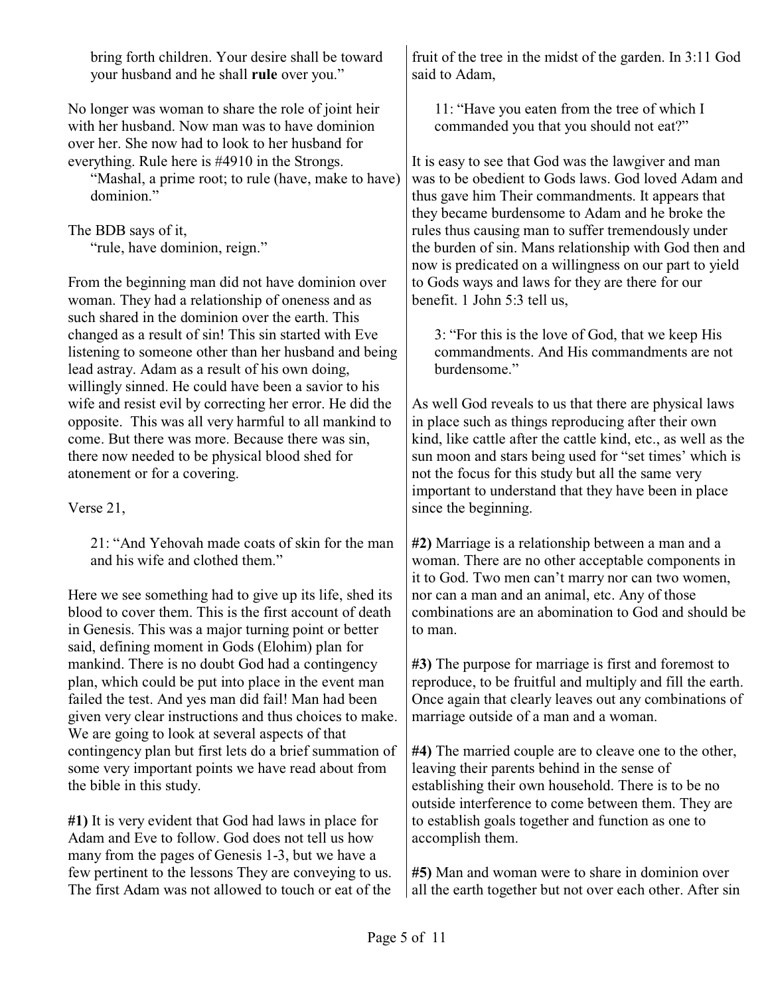| bring forth children. Your desire shall be toward<br>your husband and he shall rule over you."                                                            | fruit of the tree in the midst of the garden. In 3:11 God<br>said to Adam,                             |
|-----------------------------------------------------------------------------------------------------------------------------------------------------------|--------------------------------------------------------------------------------------------------------|
| No longer was woman to share the role of joint heir<br>with her husband. Now man was to have dominion<br>over her. She now had to look to her husband for | 11: "Have you eaten from the tree of which I<br>commanded you that you should not eat?"                |
| everything. Rule here is #4910 in the Strongs.                                                                                                            | It is easy to see that God was the lawgiver and man                                                    |
| "Mashal, a prime root; to rule (have, make to have)                                                                                                       | was to be obedient to Gods laws. God loved Adam and                                                    |
| dominion."                                                                                                                                                | thus gave him Their commandments. It appears that                                                      |
| The BDB says of it,                                                                                                                                       | they became burdensome to Adam and he broke the<br>rules thus causing man to suffer tremendously under |
| "rule, have dominion, reign."                                                                                                                             | the burden of sin. Mans relationship with God then and                                                 |
|                                                                                                                                                           | now is predicated on a willingness on our part to yield                                                |
| From the beginning man did not have dominion over<br>woman. They had a relationship of oneness and as                                                     | to Gods ways and laws for they are there for our<br>benefit. 1 John 5:3 tell us,                       |
| such shared in the dominion over the earth. This                                                                                                          |                                                                                                        |
| changed as a result of sin! This sin started with Eve                                                                                                     | 3: "For this is the love of God, that we keep His                                                      |
| listening to someone other than her husband and being                                                                                                     | commandments. And His commandments are not                                                             |
| lead astray. Adam as a result of his own doing,                                                                                                           | burdensome."                                                                                           |
| willingly sinned. He could have been a savior to his                                                                                                      |                                                                                                        |
| wife and resist evil by correcting her error. He did the                                                                                                  | As well God reveals to us that there are physical laws                                                 |
| opposite. This was all very harmful to all mankind to                                                                                                     | in place such as things reproducing after their own                                                    |
| come. But there was more. Because there was sin,                                                                                                          | kind, like cattle after the cattle kind, etc., as well as the                                          |

come. But there was more. Because there was sin, there now needed to be physical blood shed for atonement or for a covering.

Verse 21,

21: "And Yehovah made coats of skin for the man and his wife and clothed them."

Here we see something had to give up its life, shed its blood to cover them. This is the first account of death in Genesis. This was a major turning point or better said, defining moment in Gods (Elohim) plan for mankind. There is no doubt God had a contingency plan, which could be put into place in the event man failed the test. And yes man did fail! Man had been given very clear instructions and thus choices to make. We are going to look at several aspects of that contingency plan but first lets do a brief summation of some very important points we have read about from the bible in this study.

**#1)** It is very evident that God had laws in place for Adam and Eve to follow. God does not tell us how many from the pages of Genesis 1-3, but we have a few pertinent to the lessons They are conveying to us. The first Adam was not allowed to touch or eat of the **#2)** Marriage is a relationship between a man and a woman. There are no other acceptable components in it to God. Two men can't marry nor can two women, nor can a man and an animal, etc. Any of those combinations are an abomination to God and should be to man.

sun moon and stars being used for "set times' which is

not the focus for this study but all the same very important to understand that they have been in place

since the beginning.

**#3)** The purpose for marriage is first and foremost to reproduce, to be fruitful and multiply and fill the earth. Once again that clearly leaves out any combinations of marriage outside of a man and a woman.

**#4)** The married couple are to cleave one to the other, leaving their parents behind in the sense of establishing their own household. There is to be no outside interference to come between them. They are to establish goals together and function as one to accomplish them.

**#5)** Man and woman were to share in dominion over all the earth together but not over each other. After sin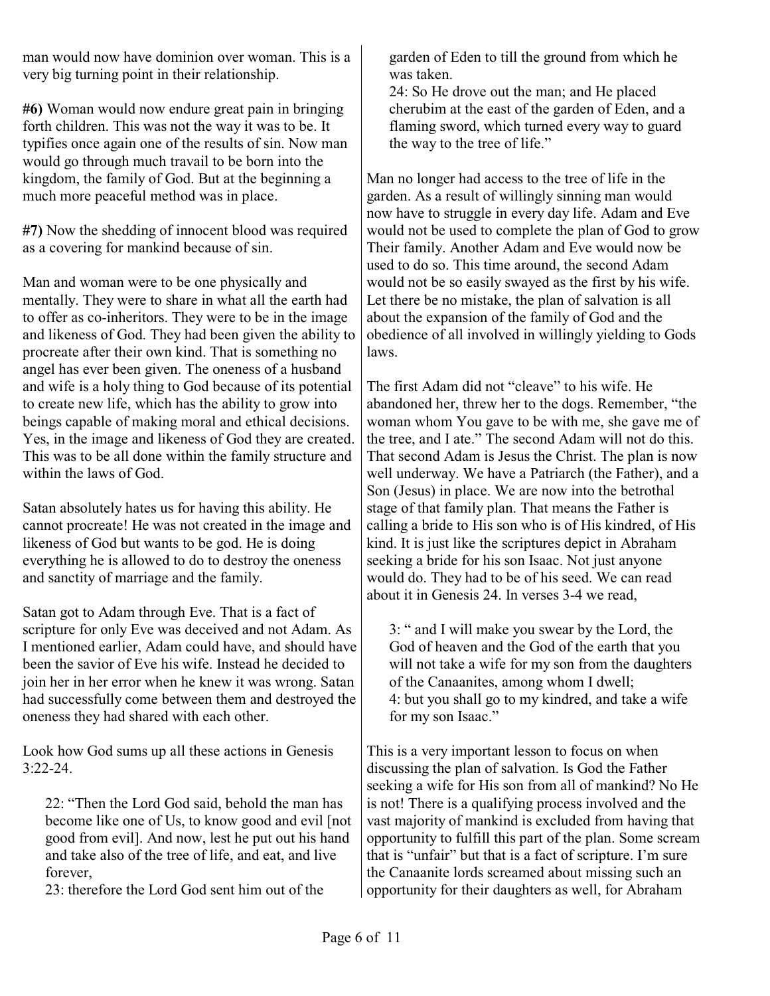man would now have dominion over woman. This is a very big turning point in their relationship.

**#6)** Woman would now endure great pain in bringing forth children. This was not the way it was to be. It typifies once again one of the results of sin. Now man would go through much travail to be born into the kingdom, the family of God. But at the beginning a much more peaceful method was in place.

**#7)** Now the shedding of innocent blood was required as a covering for mankind because of sin.

Man and woman were to be one physically and mentally. They were to share in what all the earth had to offer as co-inheritors. They were to be in the image and likeness of God. They had been given the ability to procreate after their own kind. That is something no angel has ever been given. The oneness of a husband and wife is a holy thing to God because of its potential to create new life, which has the ability to grow into beings capable of making moral and ethical decisions. Yes, in the image and likeness of God they are created. This was to be all done within the family structure and within the laws of God.

Satan absolutely hates us for having this ability. He cannot procreate! He was not created in the image and likeness of God but wants to be god. He is doing everything he is allowed to do to destroy the oneness and sanctity of marriage and the family.

Satan got to Adam through Eve. That is a fact of scripture for only Eve was deceived and not Adam. As I mentioned earlier, Adam could have, and should have been the savior of Eve his wife. Instead he decided to join her in her error when he knew it was wrong. Satan had successfully come between them and destroyed the oneness they had shared with each other.

Look how God sums up all these actions in Genesis 3:22-24.

22: "Then the Lord God said, behold the man has become like one of Us, to know good and evil [not good from evil]. And now, lest he put out his hand and take also of the tree of life, and eat, and live forever,

23: therefore the Lord God sent him out of the

garden of Eden to till the ground from which he was taken.

24: So He drove out the man; and He placed cherubim at the east of the garden of Eden, and a flaming sword, which turned every way to guard the way to the tree of life."

Man no longer had access to the tree of life in the garden. As a result of willingly sinning man would now have to struggle in every day life. Adam and Eve would not be used to complete the plan of God to grow Their family. Another Adam and Eve would now be used to do so. This time around, the second Adam would not be so easily swayed as the first by his wife. Let there be no mistake, the plan of salvation is all about the expansion of the family of God and the obedience of all involved in willingly yielding to Gods laws.

The first Adam did not "cleave" to his wife. He abandoned her, threw her to the dogs. Remember, "the woman whom You gave to be with me, she gave me of the tree, and I ate." The second Adam will not do this. That second Adam is Jesus the Christ. The plan is now well underway. We have a Patriarch (the Father), and a Son (Jesus) in place. We are now into the betrothal stage of that family plan. That means the Father is calling a bride to His son who is of His kindred, of His kind. It is just like the scriptures depict in Abraham seeking a bride for his son Isaac. Not just anyone would do. They had to be of his seed. We can read about it in Genesis 24. In verses 3-4 we read,

3: " and I will make you swear by the Lord, the God of heaven and the God of the earth that you will not take a wife for my son from the daughters of the Canaanites, among whom I dwell; 4: but you shall go to my kindred, and take a wife for my son Isaac."

This is a very important lesson to focus on when discussing the plan of salvation. Is God the Father seeking a wife for His son from all of mankind? No He is not! There is a qualifying process involved and the vast majority of mankind is excluded from having that opportunity to fulfill this part of the plan. Some scream that is "unfair" but that is a fact of scripture. I'm sure the Canaanite lords screamed about missing such an opportunity for their daughters as well, for Abraham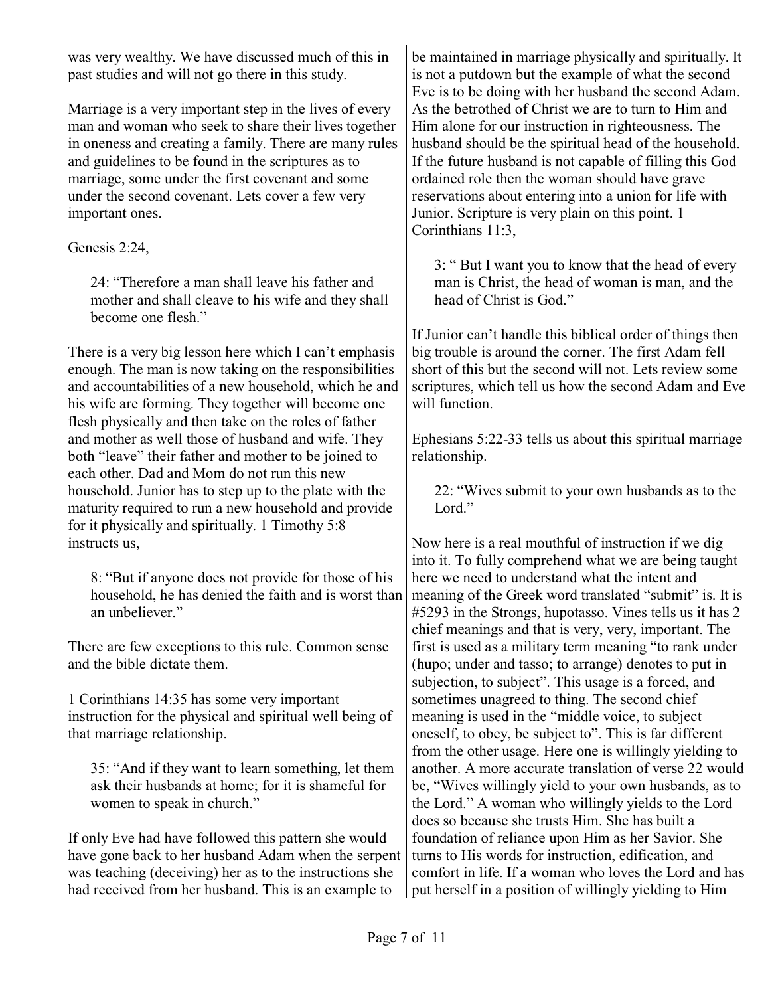was very wealthy. We have discussed much of this in past studies and will not go there in this study.

Marriage is a very important step in the lives of every man and woman who seek to share their lives together in oneness and creating a family. There are many rules and guidelines to be found in the scriptures as to marriage, some under the first covenant and some under the second covenant. Lets cover a few very important ones.

Genesis 2:24,

24: "Therefore a man shall leave his father and mother and shall cleave to his wife and they shall become one flesh."

There is a very big lesson here which I can't emphasis enough. The man is now taking on the responsibilities and accountabilities of a new household, which he and his wife are forming. They together will become one flesh physically and then take on the roles of father and mother as well those of husband and wife. They both "leave" their father and mother to be joined to each other. Dad and Mom do not run this new household. Junior has to step up to the plate with the maturity required to run a new household and provide for it physically and spiritually. 1 Timothy 5:8 instructs us,

8: "But if anyone does not provide for those of his household, he has denied the faith and is worst than an unheliever"

There are few exceptions to this rule. Common sense and the bible dictate them.

1 Corinthians 14:35 has some very important instruction for the physical and spiritual well being of that marriage relationship.

35: "And if they want to learn something, let them ask their husbands at home; for it is shameful for women to speak in church."

If only Eve had have followed this pattern she would have gone back to her husband Adam when the serpent was teaching (deceiving) her as to the instructions she had received from her husband. This is an example to

be maintained in marriage physically and spiritually. It is not a putdown but the example of what the second Eve is to be doing with her husband the second Adam. As the betrothed of Christ we are to turn to Him and Him alone for our instruction in righteousness. The husband should be the spiritual head of the household. If the future husband is not capable of filling this God ordained role then the woman should have grave reservations about entering into a union for life with Junior. Scripture is very plain on this point. 1 Corinthians 11:3,

3: " But I want you to know that the head of every man is Christ, the head of woman is man, and the head of Christ is God."

If Junior can't handle this biblical order of things then big trouble is around the corner. The first Adam fell short of this but the second will not. Lets review some scriptures, which tell us how the second Adam and Eve will function.

Ephesians 5:22-33 tells us about this spiritual marriage relationship.

22: "Wives submit to your own husbands as to the Lord<sup>"</sup>

Now here is a real mouthful of instruction if we dig into it. To fully comprehend what we are being taught here we need to understand what the intent and meaning of the Greek word translated "submit" is. It is #5293 in the Strongs, hupotasso. Vines tells us it has 2 chief meanings and that is very, very, important. The first is used as a military term meaning "to rank under (hupo; under and tasso; to arrange) denotes to put in subjection, to subject". This usage is a forced, and sometimes unagreed to thing. The second chief meaning is used in the "middle voice, to subject oneself, to obey, be subject to". This is far different from the other usage. Here one is willingly yielding to another. A more accurate translation of verse 22 would be, "Wives willingly yield to your own husbands, as to the Lord." A woman who willingly yields to the Lord does so because she trusts Him. She has built a foundation of reliance upon Him as her Savior. She turns to His words for instruction, edification, and comfort in life. If a woman who loves the Lord and has put herself in a position of willingly yielding to Him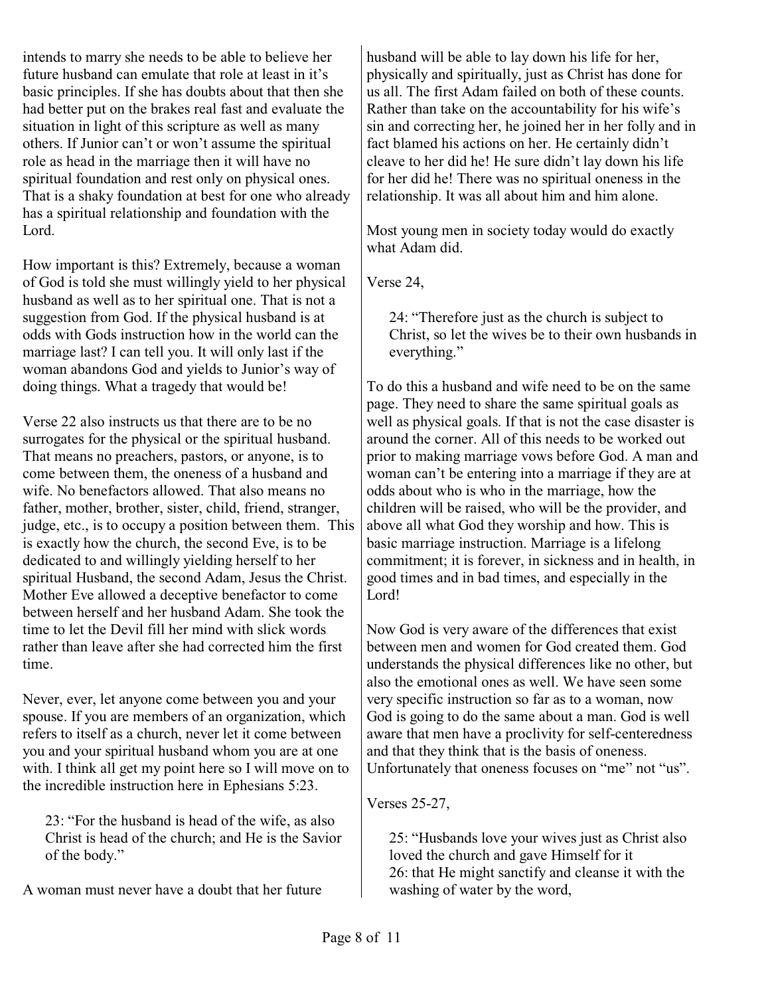intends to marry she needs to be able to believe her future husband can emulate that role at least in it's basic principles. If she has doubts about that then she had better put on the brakes real fast and evaluate the situation in light of this scripture as well as many others. If Junior can't or won't assume the spiritual role as head in the marriage then it will have no spiritual foundation and rest only on physical ones. That is a shaky foundation at best for one who already has a spiritual relationship and foundation with the Lord.

How important is this? Extremely, because a woman of God is told she must willingly yield to her physical husband as well as to her spiritual one. That is not a suggestion from God. If the physical husband is at odds with Gods instruction how in the world can the marriage last? I can tell you. It will only last if the woman abandons God and yields to Junior's way of doing things. What a tragedy that would be!

Verse 22 also instructs us that there are to be no surrogates for the physical or the spiritual husband. That means no preachers, pastors, or anyone, is to come between them, the oneness of a husband and wife. No benefactors allowed. That also means no father, mother, brother, sister, child, friend, stranger, judge, etc., is to occupy a position between them. This is exactly how the church, the second Eve, is to be dedicated to and willingly yielding herself to her spiritual Husband, the second Adam, Jesus the Christ. Mother Eve allowed a deceptive benefactor to come between herself and her husband Adam. She took the time to let the Devil fill her mind with slick words rather than leave after she had corrected him the first time.

Never, ever, let anyone come between you and your spouse. If you are members of an organization, which refers to itself as a church, never let it come between you and your spiritual husband whom you are at one with. I think all get my point here so I will move on to the incredible instruction here in Ephesians 5:23.

23: "For the husband is head of the wife, as also Christ is head of the church; and He is the Savior of the body."

A woman must never have a doubt that her future

husband will be able to lay down his life for her, physically and spiritually, just as Christ has done for us all. The first Adam failed on both of these counts. Rather than take on the accountability for his wife's sin and correcting her, he joined her in her folly and in fact blamed his actions on her. He certainly didn't cleave to her did he! He sure didn't lay down his life for her did he! There was no spiritual oneness in the relationship. It was all about him and him alone.

Most young men in society today would do exactly what Adam did.

Verse 24,

24: "Therefore just as the church is subject to Christ, so let the wives be to their own husbands in everything."

To do this a husband and wife need to be on the same page. They need to share the same spiritual goals as well as physical goals. If that is not the case disaster is around the corner. All of this needs to be worked out prior to making marriage vows before God. A man and woman can't be entering into a marriage if they are at odds about who is who in the marriage, how the children will be raised, who will be the provider, and above all what God they worship and how. This is basic marriage instruction. Marriage is a lifelong commitment; it is forever, in sickness and in health, in good times and in bad times, and especially in the Lord!

Now God is very aware of the differences that exist between men and women for God created them. God understands the physical differences like no other, but also the emotional ones as well. We have seen some very specific instruction so far as to a woman, now God is going to do the same about a man. God is well aware that men have a proclivity for self-centeredness and that they think that is the basis of oneness. Unfortunately that oneness focuses on "me" not "us".

Verses 25-27,

25: "Husbands love your wives just as Christ also loved the church and gave Himself for it 26: that He might sanctify and cleanse it with the washing of water by the word,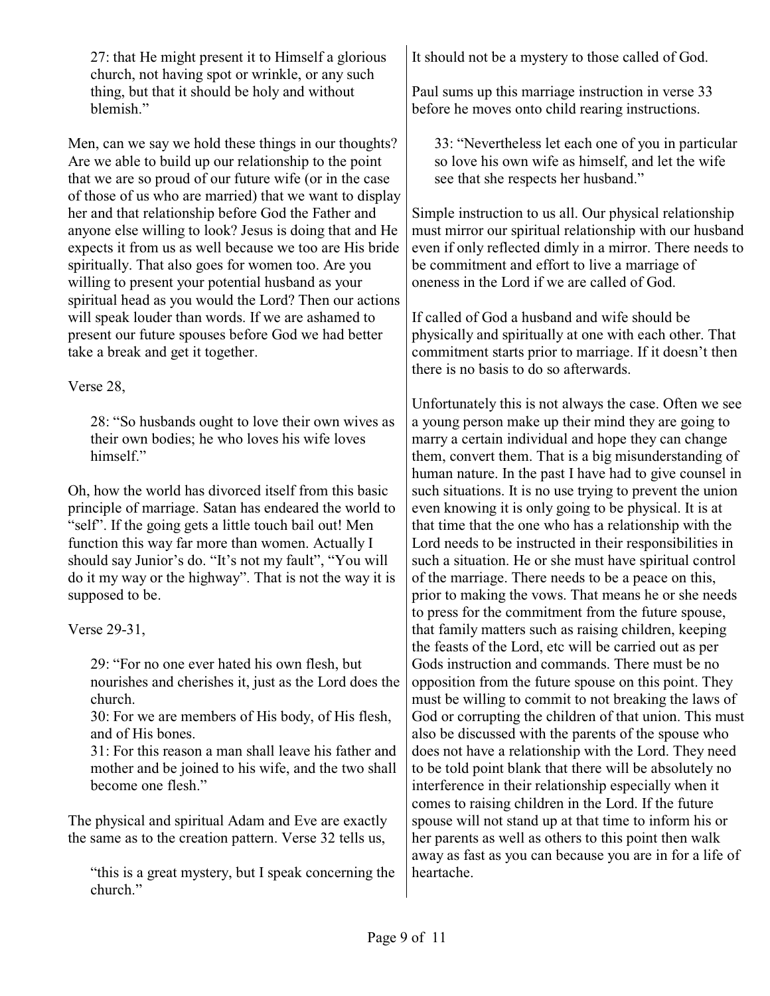27: that He might present it to Himself a glorious church, not having spot or wrinkle, or any such thing, but that it should be holy and without blemish."

Men, can we say we hold these things in our thoughts? Are we able to build up our relationship to the point that we are so proud of our future wife (or in the case of those of us who are married) that we want to display her and that relationship before God the Father and anyone else willing to look? Jesus is doing that and He expects it from us as well because we too are His bride spiritually. That also goes for women too. Are you willing to present your potential husband as your spiritual head as you would the Lord? Then our actions will speak louder than words. If we are ashamed to present our future spouses before God we had better take a break and get it together.

## Verse 28,

28: "So husbands ought to love their own wives as their own bodies; he who loves his wife loves himself."

Oh, how the world has divorced itself from this basic principle of marriage. Satan has endeared the world to "self". If the going gets a little touch bail out! Men function this way far more than women. Actually I should say Junior's do. "It's not my fault", "You will do it my way or the highway". That is not the way it is supposed to be.

Verse 29-31,

29: "For no one ever hated his own flesh, but nourishes and cherishes it, just as the Lord does the church.

30: For we are members of His body, of His flesh, and of His bones.

31: For this reason a man shall leave his father and mother and be joined to his wife, and the two shall become one flesh"

The physical and spiritual Adam and Eve are exactly the same as to the creation pattern. Verse 32 tells us,

"this is a great mystery, but I speak concerning the church."

It should not be a mystery to those called of God.

Paul sums up this marriage instruction in verse 33 before he moves onto child rearing instructions.

33: "Nevertheless let each one of you in particular so love his own wife as himself, and let the wife see that she respects her husband."

Simple instruction to us all. Our physical relationship must mirror our spiritual relationship with our husband even if only reflected dimly in a mirror. There needs to be commitment and effort to live a marriage of oneness in the Lord if we are called of God.

If called of God a husband and wife should be physically and spiritually at one with each other. That commitment starts prior to marriage. If it doesn't then there is no basis to do so afterwards.

Unfortunately this is not always the case. Often we see a young person make up their mind they are going to marry a certain individual and hope they can change them, convert them. That is a big misunderstanding of human nature. In the past I have had to give counsel in such situations. It is no use trying to prevent the union even knowing it is only going to be physical. It is at that time that the one who has a relationship with the Lord needs to be instructed in their responsibilities in such a situation. He or she must have spiritual control of the marriage. There needs to be a peace on this, prior to making the vows. That means he or she needs to press for the commitment from the future spouse, that family matters such as raising children, keeping the feasts of the Lord, etc will be carried out as per Gods instruction and commands. There must be no opposition from the future spouse on this point. They must be willing to commit to not breaking the laws of God or corrupting the children of that union. This must also be discussed with the parents of the spouse who does not have a relationship with the Lord. They need to be told point blank that there will be absolutely no interference in their relationship especially when it comes to raising children in the Lord. If the future spouse will not stand up at that time to inform his or her parents as well as others to this point then walk away as fast as you can because you are in for a life of heartache.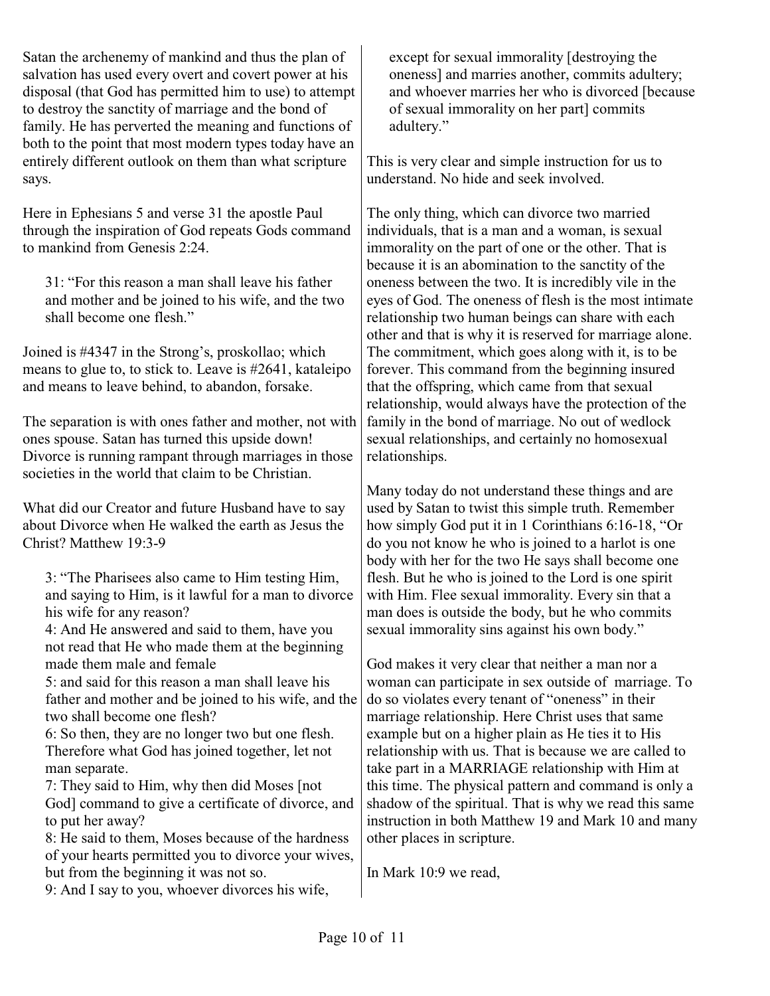Satan the archenemy of mankind and thus the plan of salvation has used every overt and covert power at his disposal (that God has permitted him to use) to attempt to destroy the sanctity of marriage and the bond of family. He has perverted the meaning and functions of both to the point that most modern types today have an entirely different outlook on them than what scripture says.

Here in Ephesians 5 and verse 31 the apostle Paul through the inspiration of God repeats Gods command to mankind from Genesis 2:24.

31: "For this reason a man shall leave his father and mother and be joined to his wife, and the two shall become one flesh."

Joined is #4347 in the Strong's, proskollao; which means to glue to, to stick to. Leave is #2641, kataleipo and means to leave behind, to abandon, forsake.

The separation is with ones father and mother, not with ones spouse. Satan has turned this upside down! Divorce is running rampant through marriages in those societies in the world that claim to be Christian.

What did our Creator and future Husband have to say about Divorce when He walked the earth as Jesus the Christ? Matthew 19:3-9

3: "The Pharisees also came to Him testing Him, and saying to Him, is it lawful for a man to divorce his wife for any reason?

4: And He answered and said to them, have you not read that He who made them at the beginning made them male and female

5: and said for this reason a man shall leave his father and mother and be joined to his wife, and the two shall become one flesh?

6: So then, they are no longer two but one flesh. Therefore what God has joined together, let not man separate.

7: They said to Him, why then did Moses [not

God] command to give a certificate of divorce, and to put her away?

8: He said to them, Moses because of the hardness of your hearts permitted you to divorce your wives, but from the beginning it was not so.

9: And I say to you, whoever divorces his wife,

except for sexual immorality [destroying the oneness] and marries another, commits adultery; and whoever marries her who is divorced [because of sexual immorality on her part] commits adultery."

This is very clear and simple instruction for us to understand. No hide and seek involved.

The only thing, which can divorce two married individuals, that is a man and a woman, is sexual immorality on the part of one or the other. That is because it is an abomination to the sanctity of the oneness between the two. It is incredibly vile in the eyes of God. The oneness of flesh is the most intimate relationship two human beings can share with each other and that is why it is reserved for marriage alone. The commitment, which goes along with it, is to be forever. This command from the beginning insured that the offspring, which came from that sexual relationship, would always have the protection of the family in the bond of marriage. No out of wedlock sexual relationships, and certainly no homosexual relationships.

Many today do not understand these things and are used by Satan to twist this simple truth. Remember how simply God put it in 1 Corinthians 6:16-18, "Or do you not know he who is joined to a harlot is one body with her for the two He says shall become one flesh. But he who is joined to the Lord is one spirit with Him. Flee sexual immorality. Every sin that a man does is outside the body, but he who commits sexual immorality sins against his own body."

God makes it very clear that neither a man nor a woman can participate in sex outside of marriage. To do so violates every tenant of "oneness" in their marriage relationship. Here Christ uses that same example but on a higher plain as He ties it to His relationship with us. That is because we are called to take part in a MARRIAGE relationship with Him at this time. The physical pattern and command is only a shadow of the spiritual. That is why we read this same instruction in both Matthew 19 and Mark 10 and many other places in scripture.

In Mark 10:9 we read,